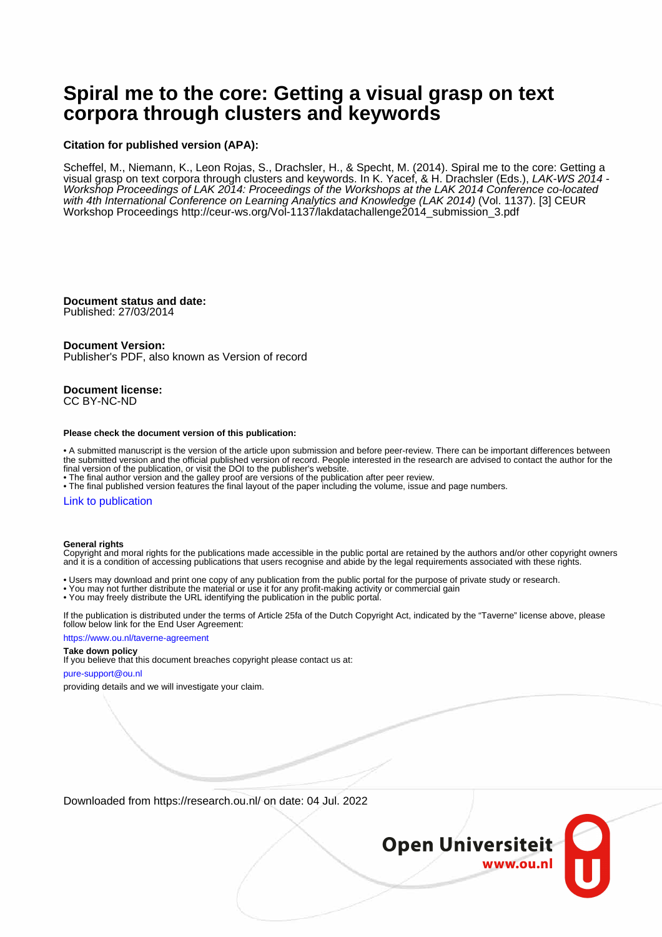# **Spiral me to the core: Getting a visual grasp on text corpora through clusters and keywords**

## **Citation for published version (APA):**

Scheffel, M., Niemann, K., Leon Rojas, S., Drachsler, H., & Specht, M. (2014). Spiral me to the core: Getting a visual grasp on text corpora through clusters and keywords. In K. Yacef, & H. Drachsler (Eds.), LAK-WS 2014 - Workshop Proceedings of LAK 2014: Proceedings of the Workshops at the LAK 2014 Conference co-located with 4th International Conference on Learning Analytics and Knowledge (LAK 2014) (Vol. 1137). [3] CEUR Workshop Proceedings [http://ceur-ws.org/Vol-1137/lakdatachallenge2014\\_submission\\_3.pdf](http://ceur-ws.org/Vol-1137/lakdatachallenge2014_submission_3.pdf)

# **Document status and date:**

Published: 27/03/2014

## **Document Version:**

Publisher's PDF, also known as Version of record

## **Document license:** CC BY-NC-ND

#### **Please check the document version of this publication:**

• A submitted manuscript is the version of the article upon submission and before peer-review. There can be important differences between the submitted version and the official published version of record. People interested in the research are advised to contact the author for the final version of the publication, or visit the DOI to the publisher's website.

• The final author version and the galley proof are versions of the publication after peer review.

• The final published version features the final layout of the paper including the volume, issue and page numbers.

## [Link to publication](https://research.ou.nl/en/publications/dfffb060-88ab-4751-9e87-2f83c423bfe0)

## **General rights**

Copyright and moral rights for the publications made accessible in the public portal are retained by the authors and/or other copyright owners and it is a condition of accessing publications that users recognise and abide by the legal requirements associated with these rights.

- Users may download and print one copy of any publication from the public portal for the purpose of private study or research.
- You may not further distribute the material or use it for any profit-making activity or commercial gain
- You may freely distribute the URL identifying the publication in the public portal.

If the publication is distributed under the terms of Article 25fa of the Dutch Copyright Act, indicated by the "Taverne" license above, please follow below link for the End User Agreement:

## https://www.ou.nl/taverne-agreement

# **Take down policy**

If you believe that this document breaches copyright please contact us at:

### pure-support@ou.nl

providing details and we will investigate your claim.

Downloaded from https://research.ou.nl/ on date: 04 Jul. 2022

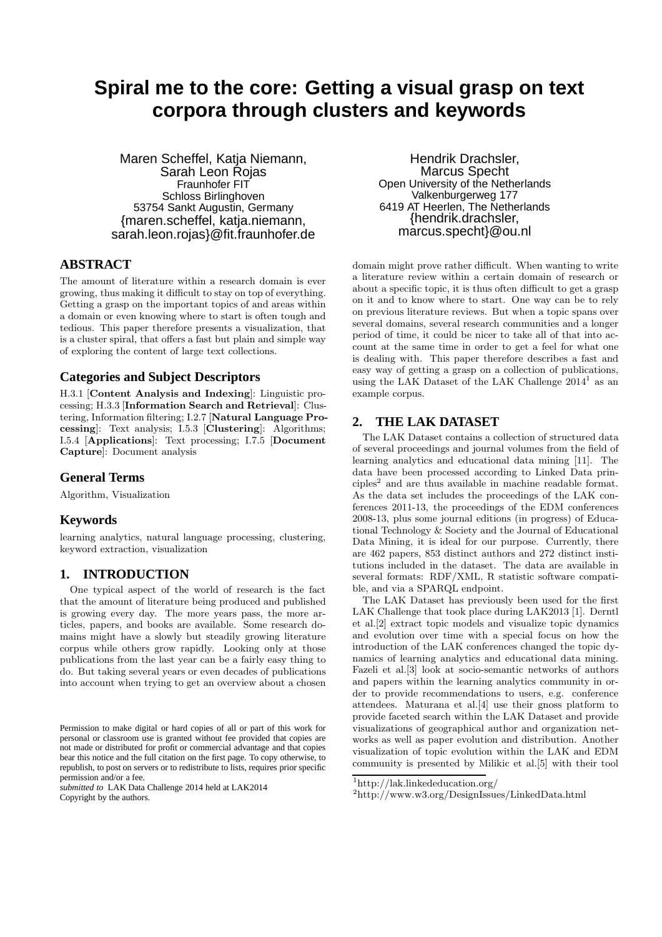# **Spiral me to the core: Getting a visual grasp on text corpora through clusters and keywords**

Maren Scheffel, Katja Niemann, Sarah Leon Rojas Fraunhofer FIT Schloss Birlinghoven 53754 Sankt Augustin, Germany {maren.scheffel, katja.niemann, sarah.leon.rojas}@fit.fraunhofer.de

# **ABSTRACT**

The amount of literature within a research domain is ever growing, thus making it difficult to stay on top of everything. Getting a grasp on the important topics of and areas within a domain or even knowing where to start is often tough and tedious. This paper therefore presents a visualization, that is a cluster spiral, that offers a fast but plain and simple way of exploring the content of large text collections.

# **Categories and Subject Descriptors**

H.3.1 [Content Analysis and Indexing]: Linguistic processing; H.3.3 [Information Search and Retrieval]: Clustering, Information filtering; I.2.7 [Natural Language Processing]: Text analysis; I.5.3 [Clustering]: Algorithms; I.5.4 [Applications]: Text processing; I.7.5 [Document Capture]: Document analysis

# **General Terms**

Algorithm, Visualization

# **Keywords**

learning analytics, natural language processing, clustering, keyword extraction, visualization

# **1. INTRODUCTION**

One typical aspect of the world of research is the fact that the amount of literature being produced and published is growing every day. The more years pass, the more articles, papers, and books are available. Some research domains might have a slowly but steadily growing literature corpus while others grow rapidly. Looking only at those publications from the last year can be a fairly easy thing to do. But taking several years or even decades of publications into account when trying to get an overview about a chosen

*submitted to* LAK Data Challenge 2014 held at LAK2014 Copyright by the authors.

Hendrik Drachsler, Marcus Specht Open University of the Netherlands Valkenburgerweg 177 6419 AT Heerlen, The Netherlands {hendrik.drachsler, marcus.specht}@ou.nl

domain might prove rather difficult. When wanting to write a literature review within a certain domain of research or about a specific topic, it is thus often difficult to get a grasp on it and to know where to start. One way can be to rely on previous literature reviews. But when a topic spans over several domains, several research communities and a longer period of time, it could be nicer to take all of that into account at the same time in order to get a feel for what one is dealing with. This paper therefore describes a fast and easy way of getting a grasp on a collection of publications, using the LAK Dataset of the LAK Challenge 2014<sup>1</sup> as an example corpus.

# **2. THE LAK DATASET**

The LAK Dataset contains a collection of structured data of several proceedings and journal volumes from the field of learning analytics and educational data mining [11]. The data have been processed according to Linked Data principles<sup>2</sup> and are thus available in machine readable format. As the data set includes the proceedings of the LAK conferences 2011-13, the proceedings of the EDM conferences 2008-13, plus some journal editions (in progress) of Educational Technology & Society and the Journal of Educational Data Mining, it is ideal for our purpose. Currently, there are 462 papers, 853 distinct authors and 272 distinct institutions included in the dataset. The data are available in several formats: RDF/XML, R statistic software compatible, and via a SPARQL endpoint.

The LAK Dataset has previously been used for the first LAK Challenge that took place during LAK2013 [1]. Derntl et al.[2] extract topic models and visualize topic dynamics and evolution over time with a special focus on how the introduction of the LAK conferences changed the topic dynamics of learning analytics and educational data mining. Fazeli et al.[3] look at socio-semantic networks of authors and papers within the learning analytics community in order to provide recommendations to users, e.g. conference attendees. Maturana et al.[4] use their gnoss platform to provide faceted search within the LAK Dataset and provide visualizations of geographical author and organization networks as well as paper evolution and distribution. Another visualization of topic evolution within the LAK and EDM community is presented by Milikic et al.[5] with their tool

Permission to make digital or hard copies of all or part of this work for personal or classroom use is granted without fee provided that copies are not made or distributed for profit or commercial advantage and that copies bear this notice and the full citation on the first page. To copy otherwise, to republish, to post on servers or to redistribute to lists, requires prior specific permission and/or a fee.

<sup>1</sup>http://lak.linkededucation.org/

<sup>2</sup> http://www.w3.org/DesignIssues/LinkedData.html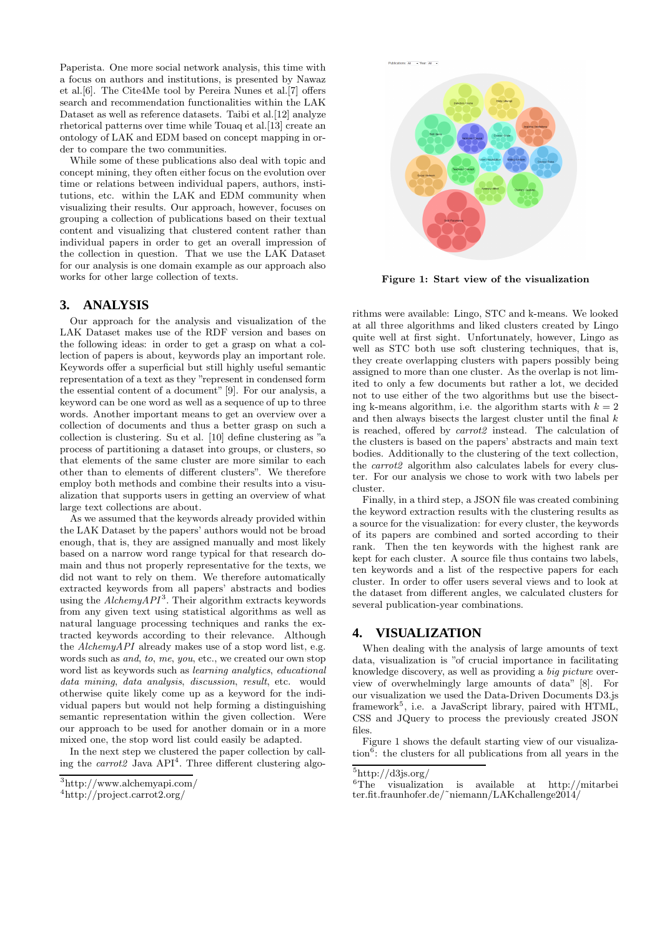Paperista. One more social network analysis, this time with a focus on authors and institutions, is presented by Nawaz et al.[6]. The Cite4Me tool by Pereira Nunes et al.[7] offers search and recommendation functionalities within the LAK Dataset as well as reference datasets. Taibi et al.[12] analyze rhetorical patterns over time while Touaq et al.[13] create an ontology of LAK and EDM based on concept mapping in order to compare the two communities.

While some of these publications also deal with topic and concept mining, they often either focus on the evolution over time or relations between individual papers, authors, institutions, etc. within the LAK and EDM community when visualizing their results. Our approach, however, focuses on grouping a collection of publications based on their textual content and visualizing that clustered content rather than individual papers in order to get an overall impression of the collection in question. That we use the LAK Dataset for our analysis is one domain example as our approach also works for other large collection of texts.

# **3. ANALYSIS**

Our approach for the analysis and visualization of the LAK Dataset makes use of the RDF version and bases on the following ideas: in order to get a grasp on what a collection of papers is about, keywords play an important role. Keywords offer a superficial but still highly useful semantic representation of a text as they "represent in condensed form the essential content of a document" [9]. For our analysis, a keyword can be one word as well as a sequence of up to three words. Another important means to get an overview over a collection of documents and thus a better grasp on such a collection is clustering. Su et al. [10] define clustering as "a process of partitioning a dataset into groups, or clusters, so that elements of the same cluster are more similar to each other than to elements of different clusters". We therefore employ both methods and combine their results into a visualization that supports users in getting an overview of what large text collections are about.

As we assumed that the keywords already provided within the LAK Dataset by the papers' authors would not be broad enough, that is, they are assigned manually and most likely based on a narrow word range typical for that research domain and thus not properly representative for the texts, we did not want to rely on them. We therefore automatically extracted keywords from all papers' abstracts and bodies using the  $AichemyAPI^3$ . Their algorithm extracts keywords from any given text using statistical algorithms as well as natural language processing techniques and ranks the extracted keywords according to their relevance. Although the  $\text{Alchemy } API$  already makes use of a stop word list, e.g. words such as and, to, me, you, etc., we created our own stop word list as keywords such as learning analytics, educational data mining, data analysis, discussion, result, etc. would otherwise quite likely come up as a keyword for the individual papers but would not help forming a distinguishing semantic representation within the given collection. Were our approach to be used for another domain or in a more mixed one, the stop word list could easily be adapted.

In the next step we clustered the paper collection by calling the *carrot2* Java  $API<sup>4</sup>$ . Three different clustering algo-



Figure 1: Start view of the visualization

rithms were available: Lingo, STC and k-means. We looked at all three algorithms and liked clusters created by Lingo quite well at first sight. Unfortunately, however, Lingo as well as STC both use soft clustering techniques, that is, they create overlapping clusters with papers possibly being assigned to more than one cluster. As the overlap is not limited to only a few documents but rather a lot, we decided not to use either of the two algorithms but use the bisecting k-means algorithm, i.e. the algorithm starts with  $k = 2$ and then always bisects the largest cluster until the final  $k$ is reached, offered by carrot2 instead. The calculation of the clusters is based on the papers' abstracts and main text bodies. Additionally to the clustering of the text collection, the *carrot2* algorithm also calculates labels for every cluster. For our analysis we chose to work with two labels per cluster.

Finally, in a third step, a JSON file was created combining the keyword extraction results with the clustering results as a source for the visualization: for every cluster, the keywords of its papers are combined and sorted according to their rank. Then the ten keywords with the highest rank are kept for each cluster. A source file thus contains two labels, ten keywords and a list of the respective papers for each cluster. In order to offer users several views and to look at the dataset from different angles, we calculated clusters for several publication-year combinations.

# **4. VISUALIZATION**

When dealing with the analysis of large amounts of text data, visualization is "of crucial importance in facilitating knowledge discovery, as well as providing a big picture overview of overwhelmingly large amounts of data" [8]. For our visualization we used the Data-Driven Documents D3.js framework<sup>5</sup>, i.e. a JavaScript library, paired with HTML, CSS and JQuery to process the previously created JSON files.

Figure 1 shows the default starting view of our visualization<sup>6</sup>: the clusters for all publications from all years in the

<sup>3</sup>http://www.alchemyapi.com/

<sup>4</sup> http://project.carrot2.org/

 $5$ http://d3js.org/

 ${}^{6}$ The visualization is available at http://mitarbei ter.fit.fraunhofer.de/˜niemann/LAKchallenge2014/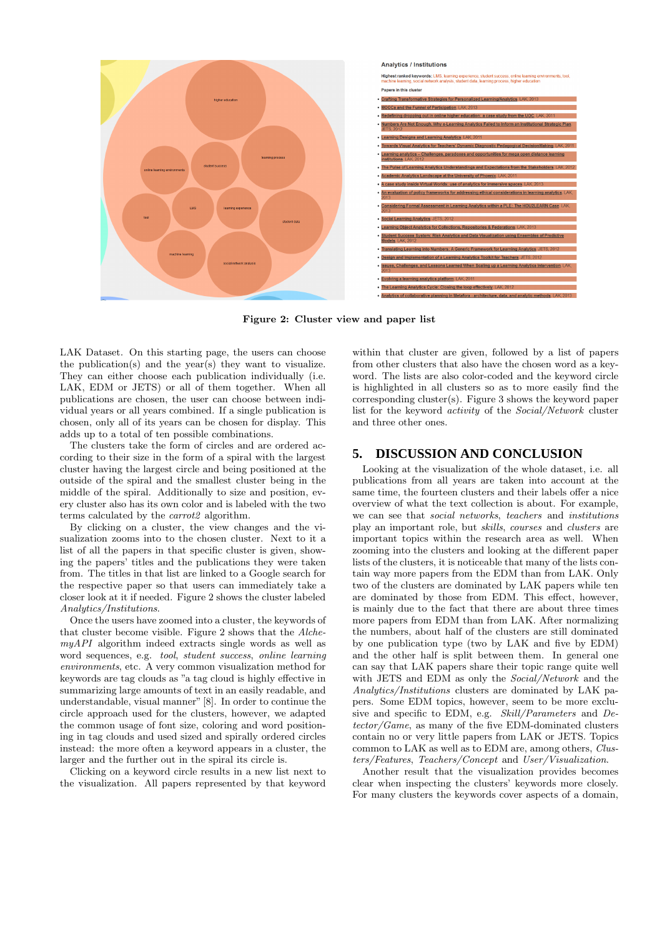

Figure 2: Cluster view and paper list

LAK Dataset. On this starting page, the users can choose the publication(s) and the year(s) they want to visualize. They can either choose each publication individually (i.e. LAK, EDM or JETS) or all of them together. When all publications are chosen, the user can choose between individual years or all years combined. If a single publication is chosen, only all of its years can be chosen for display. This adds up to a total of ten possible combinations.

The clusters take the form of circles and are ordered according to their size in the form of a spiral with the largest cluster having the largest circle and being positioned at the outside of the spiral and the smallest cluster being in the middle of the spiral. Additionally to size and position, every cluster also has its own color and is labeled with the two terms calculated by the carrot2 algorithm.

By clicking on a cluster, the view changes and the visualization zooms into to the chosen cluster. Next to it a list of all the papers in that specific cluster is given, showing the papers' titles and the publications they were taken from. The titles in that list are linked to a Google search for the respective paper so that users can immediately take a closer look at it if needed. Figure 2 shows the cluster labeled Analytics/Institutions.

Once the users have zoomed into a cluster, the keywords of that cluster become visible. Figure 2 shows that the AlchemyAPI algorithm indeed extracts single words as well as word sequences, e.g. tool, student success, online learning environments, etc. A very common visualization method for keywords are tag clouds as "a tag cloud is highly effective in summarizing large amounts of text in an easily readable, and understandable, visual manner" [8]. In order to continue the circle approach used for the clusters, however, we adapted the common usage of font size, coloring and word positioning in tag clouds and used sized and spirally ordered circles instead: the more often a keyword appears in a cluster, the larger and the further out in the spiral its circle is.

Clicking on a keyword circle results in a new list next to the visualization. All papers represented by that keyword

within that cluster are given, followed by a list of papers from other clusters that also have the chosen word as a keyword. The lists are also color-coded and the keyword circle is highlighted in all clusters so as to more easily find the corresponding cluster(s). Figure 3 shows the keyword paper list for the keyword activity of the Social/Network cluster and three other ones.

# **5. DISCUSSION AND CONCLUSION**

Looking at the visualization of the whole dataset, i.e. all publications from all years are taken into account at the same time, the fourteen clusters and their labels offer a nice overview of what the text collection is about. For example, we can see that social networks, teachers and institutions play an important role, but skills, courses and clusters are important topics within the research area as well. When zooming into the clusters and looking at the different paper lists of the clusters, it is noticeable that many of the lists contain way more papers from the EDM than from LAK. Only two of the clusters are dominated by LAK papers while ten are dominated by those from EDM. This effect, however, is mainly due to the fact that there are about three times more papers from EDM than from LAK. After normalizing the numbers, about half of the clusters are still dominated by one publication type (two by LAK and five by EDM) and the other half is split between them. In general one can say that LAK papers share their topic range quite well with JETS and EDM as only the *Social/Network* and the Analytics/Institutions clusters are dominated by LAK papers. Some EDM topics, however, seem to be more exclusive and specific to EDM, e.g. Skill/Parameters and Detector/Game, as many of the five EDM-dominated clusters contain no or very little papers from LAK or JETS. Topics common to LAK as well as to EDM are, among others, Clusters/Features, Teachers/Concept and User/Visualization.

Another result that the visualization provides becomes clear when inspecting the clusters' keywords more closely. For many clusters the keywords cover aspects of a domain,